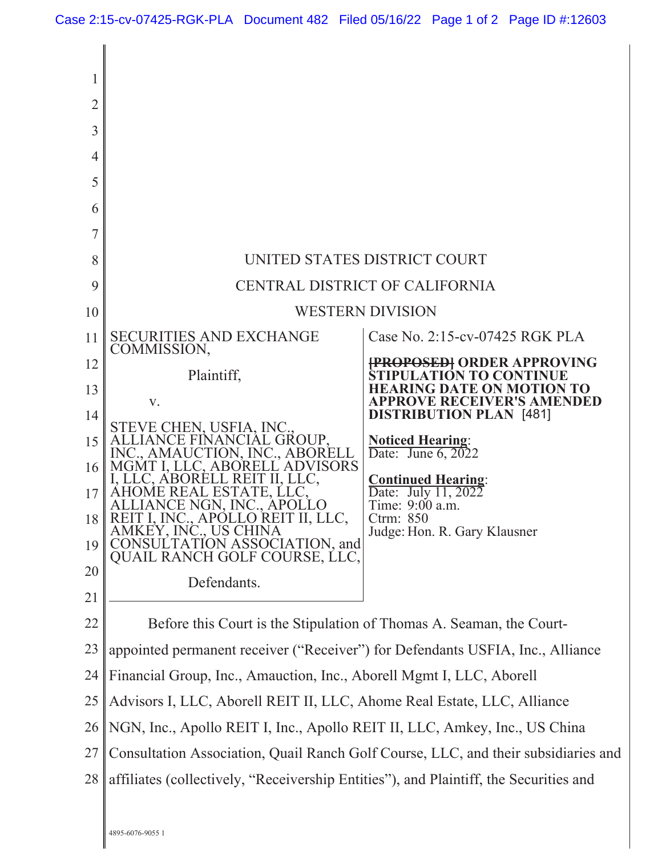| <sup>1</sup><br>2<br>3<br>4<br>5<br>6<br>7<br>8<br>9<br>10<br>11<br>12<br>13<br>14<br>15<br>16<br>17<br>18<br>19<br>20<br>21 | <b>SECURITIES AND EXCHANGE</b><br>COMMISSION,<br>Plaintiff,<br>V.<br>STEVE CHEN, USFIA, INC.,<br>ALLIANCE FINANCIAL GROUP,<br>INC., AMAUCTION, INC., ABORELL<br>MGMT I, LLC, ABOREI<br><b>ADVISORS</b><br>REIT II, LLC,<br>I, LLC, ABOREL<br>REAL ESTATE, LLC,<br><b>AHOME</b><br>LIANCE NGN, INC., APOI<br>REIT I, INC., APOLLO REIT<br>AMKEY, INC., US CHINA<br>CONSULTATION ASSOCIATION, and<br>QUAIL RANCH GOLF COURSE, LLC,<br>Defendants. | UNITED STATES DISTRICT COURT<br>CENTRAL DISTRICT OF CALIFORNIA<br><b>WESTERN DIVISION</b><br>Case No. 2:15-cv-07425 RGK PLA<br><b>PROPOSED ORDER APPROVING</b><br><b>ATIÓN TO CONTINUE</b><br>EARING DATE ON MOTION TO<br><b>APPROVE RECEIVER'S AMENDED</b><br><b>DISTRIBUTION PLAN [481]</b><br><b>Noticed Hearing:</b><br>Date: June 6, 2022<br><b>Continued Hearing:</b><br>Date: July 11, $202\overline{2}$<br>Time: 9:00 a.m.<br>Ctrm: 850<br>Judge: Hon. R. Gary Klausner |  |
|------------------------------------------------------------------------------------------------------------------------------|-------------------------------------------------------------------------------------------------------------------------------------------------------------------------------------------------------------------------------------------------------------------------------------------------------------------------------------------------------------------------------------------------------------------------------------------------|---------------------------------------------------------------------------------------------------------------------------------------------------------------------------------------------------------------------------------------------------------------------------------------------------------------------------------------------------------------------------------------------------------------------------------------------------------------------------------|--|
| 22                                                                                                                           | Before this Court is the Stipulation of Thomas A. Seaman, the Court-                                                                                                                                                                                                                                                                                                                                                                            |                                                                                                                                                                                                                                                                                                                                                                                                                                                                                 |  |
| 23                                                                                                                           | appointed permanent receiver ("Receiver") for Defendants USFIA, Inc., Alliance                                                                                                                                                                                                                                                                                                                                                                  |                                                                                                                                                                                                                                                                                                                                                                                                                                                                                 |  |
| 24                                                                                                                           | Financial Group, Inc., Amauction, Inc., Aborell Mgmt I, LLC, Aborell                                                                                                                                                                                                                                                                                                                                                                            |                                                                                                                                                                                                                                                                                                                                                                                                                                                                                 |  |
| 25                                                                                                                           | Advisors I, LLC, Aborell REIT II, LLC, Ahome Real Estate, LLC, Alliance                                                                                                                                                                                                                                                                                                                                                                         |                                                                                                                                                                                                                                                                                                                                                                                                                                                                                 |  |
| 26                                                                                                                           | NGN, Inc., Apollo REIT I, Inc., Apollo REIT II, LLC, Amkey, Inc., US China                                                                                                                                                                                                                                                                                                                                                                      |                                                                                                                                                                                                                                                                                                                                                                                                                                                                                 |  |
| 27                                                                                                                           | Consultation Association, Quail Ranch Golf Course, LLC, and their subsidiaries and                                                                                                                                                                                                                                                                                                                                                              |                                                                                                                                                                                                                                                                                                                                                                                                                                                                                 |  |
| 28                                                                                                                           | affiliates (collectively, "Receivership Entities"), and Plaintiff, the Securities and                                                                                                                                                                                                                                                                                                                                                           |                                                                                                                                                                                                                                                                                                                                                                                                                                                                                 |  |
|                                                                                                                              |                                                                                                                                                                                                                                                                                                                                                                                                                                                 |                                                                                                                                                                                                                                                                                                                                                                                                                                                                                 |  |